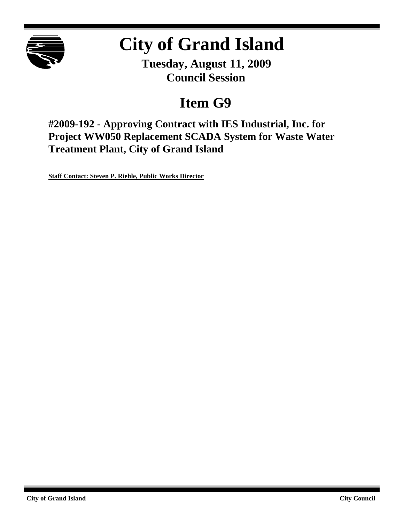

# **City of Grand Island**

**Tuesday, August 11, 2009 Council Session**

## **Item G9**

**#2009-192 - Approving Contract with IES Industrial, Inc. for Project WW050 Replacement SCADA System for Waste Water Treatment Plant, City of Grand Island**

**Staff Contact: Steven P. Riehle, Public Works Director**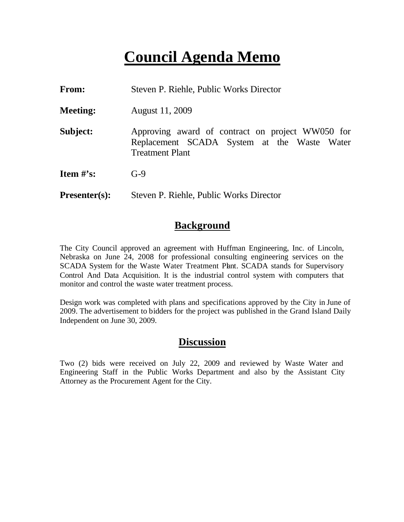## **Council Agenda Memo**

| From:                          | Steven P. Riehle, Public Works Director                                                                                   |  |
|--------------------------------|---------------------------------------------------------------------------------------------------------------------------|--|
| <b>Meeting:</b>                | August 11, 2009                                                                                                           |  |
| Subject:                       | Approving award of contract on project WW050 for<br>Replacement SCADA System at the Waste Water<br><b>Treatment Plant</b> |  |
| <b>Item <math>\#</math>'s:</b> | $G-9$                                                                                                                     |  |
| <b>Presenter(s):</b>           | Steven P. Riehle, Public Works Director                                                                                   |  |

### **Background**

The City Council approved an agreement with Huffman Engineering, Inc. of Lincoln, Nebraska on June 24, 2008 for professional consulting engineering services on the SCADA System for the Waste Water Treatment Plant. SCADA stands for Supervisory Control And Data Acquisition. It is the industrial control system with computers that monitor and control the waste water treatment process.

Design work was completed with plans and specifications approved by the City in June of 2009. The advertisement to bidders for the project was published in the Grand Island Daily Independent on June 30, 2009.

### **Discussion**

Two (2) bids were received on July 22, 2009 and reviewed by Waste Water and Engineering Staff in the Public Works Department and also by the Assistant City Attorney as the Procurement Agent for the City.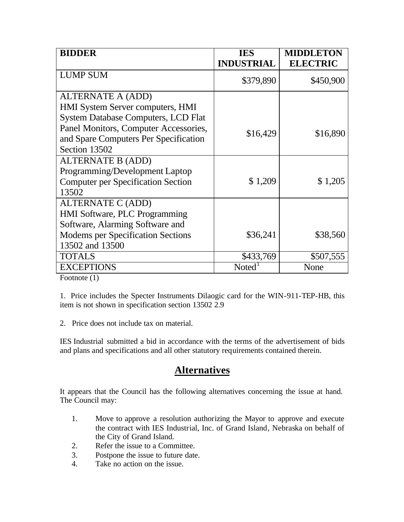| <b>BIDDER</b>                              | <b>IES</b><br><b>INDUSTRIAL</b> | <b>MIDDLETON</b><br><b>ELECTRIC</b> |
|--------------------------------------------|---------------------------------|-------------------------------------|
| <b>LUMP SUM</b>                            | \$379,890                       | \$450,900                           |
| <b>ALTERNATE A (ADD)</b>                   |                                 |                                     |
| HMI System Server computers, HMI           |                                 |                                     |
| <b>System Database Computers, LCD Flat</b> |                                 |                                     |
| Panel Monitors, Computer Accessories,      | \$16,429                        | \$16,890                            |
| and Spare Computers Per Specification      |                                 |                                     |
| Section 13502                              |                                 |                                     |
| <b>ALTERNATE B (ADD)</b>                   |                                 |                                     |
| Programming/Development Laptop             |                                 |                                     |
| <b>Computer per Specification Section</b>  | \$1,209                         | \$1,205                             |
| 13502                                      |                                 |                                     |
| ALTERNATE C (ADD)                          |                                 |                                     |
| HMI Software, PLC Programming              |                                 |                                     |
| Software, Alarming Software and            |                                 |                                     |
| <b>Modems per Specification Sections</b>   | \$36,241                        | \$38,560                            |
| 13502 and 13500                            |                                 |                                     |
| <b>TOTALS</b>                              | \$433,769                       | \$507,555                           |
| <b>EXCEPTIONS</b>                          | Noted                           | None                                |

Footnote (1)

1. Price includes the Specter Instruments Dilaogic card for the WIN-911-TEP-HB, this item is not shown in specification section 13502 2.9

2. Price does not include tax on material.

IES Industrial submitted a bid in accordance with the terms of the advertisement of bids and plans and specifications and all other statutory requirements contained therein.

## **Alternatives**

It appears that the Council has the following alternatives concerning the issue at hand. The Council may:

- 1. Move to approve a resolution authorizing the Mayor to approve and execute the contract with IES Industrial, Inc. of Grand Island, Nebraska on behalf of the City of Grand Island.
- 2. Refer the issue to a Committee.
- 3. Postpone the issue to future date.
- 4. Take no action on the issue.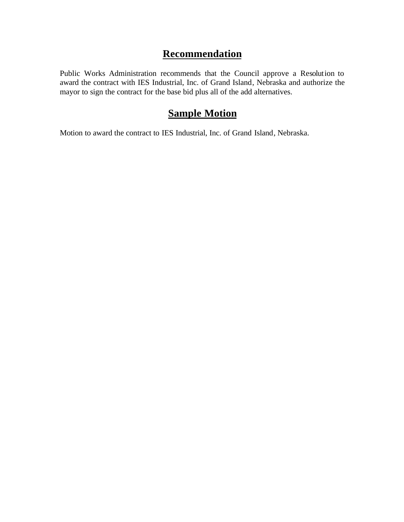### **Recommendation**

Public Works Administration recommends that the Council approve a Resolution to award the contract with IES Industrial, Inc. of Grand Island, Nebraska and authorize the mayor to sign the contract for the base bid plus all of the add alternatives.

## **Sample Motion**

Motion to award the contract to IES Industrial, Inc. of Grand Island, Nebraska.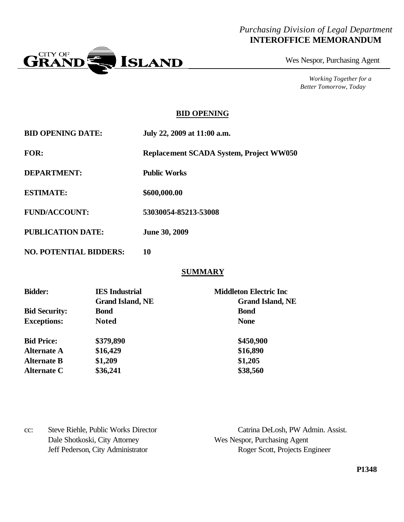#### *Purchasing Division of Legal Department* **INTEROFFICE MEMORANDUM**



Wes Nespor, Purchasing Agent

*Working Together for a Better Tomorrow, Today*

#### **BID OPENING**

| <b>BID OPENING DATE:</b>      | July 22, 2009 at 11:00 a.m.                    |
|-------------------------------|------------------------------------------------|
| FOR:                          | <b>Replacement SCADA System, Project WW050</b> |
| <b>DEPARTMENT:</b>            | <b>Public Works</b>                            |
| <b>ESTIMATE:</b>              | \$600,000.00                                   |
| <b>FUND/ACCOUNT:</b>          | 53030054-85213-53008                           |
| <b>PUBLICATION DATE:</b>      | <b>June 30, 2009</b>                           |
| <b>NO. POTENTIAL BIDDERS:</b> | 10                                             |

#### **SUMMARY**

| <b>Bidder:</b>       | <b>IES</b> Industrial   | <b>Middleton Electric Inc</b> |
|----------------------|-------------------------|-------------------------------|
|                      | <b>Grand Island, NE</b> | <b>Grand Island, NE</b>       |
| <b>Bid Security:</b> | <b>Bond</b>             | <b>Bond</b>                   |
| <b>Exceptions:</b>   | <b>Noted</b>            | <b>None</b>                   |
| <b>Bid Price:</b>    | \$379,890               | \$450,900                     |
| <b>Alternate A</b>   | \$16,429                | \$16,890                      |
| <b>Alternate B</b>   | \$1,209                 | \$1,205                       |
| Alternate C          | \$36,241                | \$38,560                      |

| $cc$ : | Steve Riehle, Public Works Director | Catrina DeLosh, PW Admin. Assist. |
|--------|-------------------------------------|-----------------------------------|
|        | Dale Shotkoski, City Attorney       | Wes Nespor, Purchasing Agent      |
|        | Jeff Pederson, City Administrator   | Roger Scott, Projects Engineer    |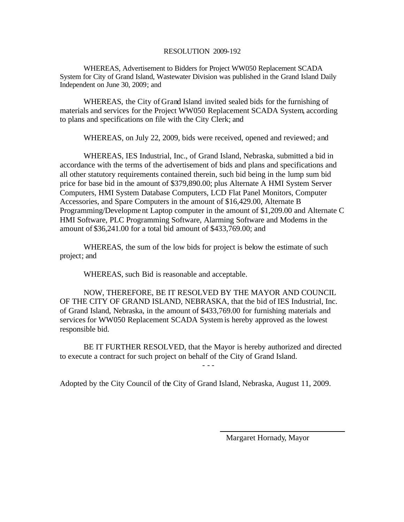#### RESOLUTION 2009-192

WHEREAS, Advertisement to Bidders for Project WW050 Replacement SCADA System for City of Grand Island, Wastewater Division was published in the Grand Island Daily Independent on June 30, 2009; and

WHEREAS, the City of Grand Island invited sealed bids for the furnishing of materials and services for the Project WW050 Replacement SCADA System, according to plans and specifications on file with the City Clerk; and

WHEREAS, on July 22, 2009, bids were received, opened and reviewed; and

WHEREAS, IES Industrial, Inc., of Grand Island, Nebraska, submitted a bid in accordance with the terms of the advertisement of bids and plans and specifications and all other statutory requirements contained therein, such bid being in the lump sum bid price for base bid in the amount of \$379,890.00; plus Alternate A HMI System Server Computers, HMI System Database Computers, LCD Flat Panel Monitors, Computer Accessories, and Spare Computers in the amount of \$16,429.00, Alternate B Programming/Development Laptop computer in the amount of \$1,209.00 and Alternate C HMI Software, PLC Programming Software, Alarming Software and Modems in the amount of \$36,241.00 for a total bid amount of \$433,769.00; and

WHEREAS, the sum of the low bids for project is below the estimate of such project; and

WHEREAS, such Bid is reasonable and acceptable.

NOW, THEREFORE, BE IT RESOLVED BY THE MAYOR AND COUNCIL OF THE CITY OF GRAND ISLAND, NEBRASKA, that the bid of IES Industrial, Inc. of Grand Island, Nebraska, in the amount of \$433,769.00 for furnishing materials and services for WW050 Replacement SCADA System is hereby approved as the lowest responsible bid.

BE IT FURTHER RESOLVED, that the Mayor is hereby authorized and directed to execute a contract for such project on behalf of the City of Grand Island.

- - -

Adopted by the City Council of the City of Grand Island, Nebraska, August 11, 2009.

Margaret Hornady, Mayor